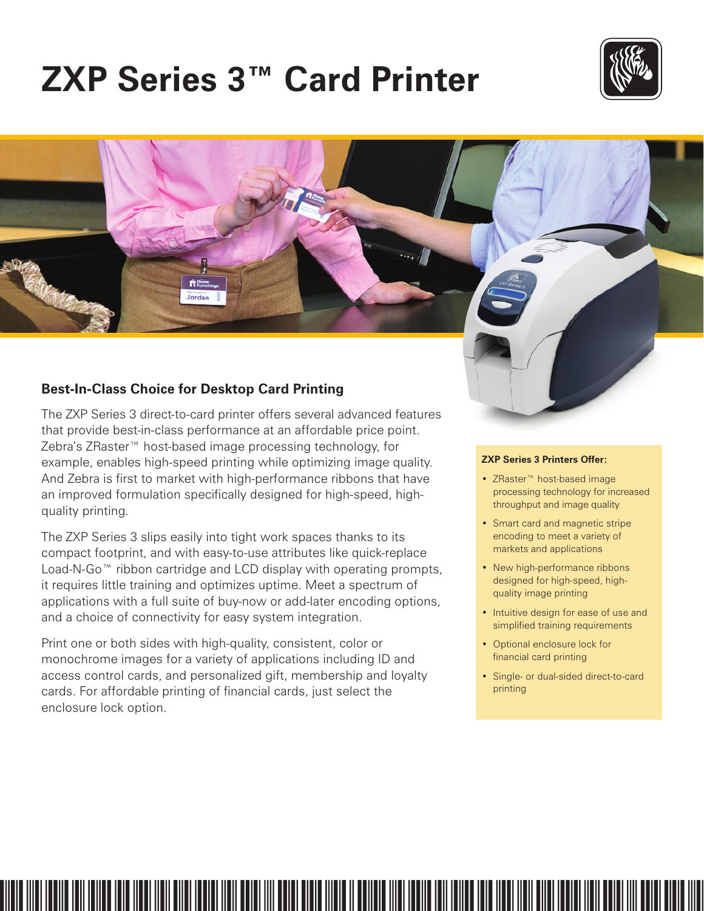# **ZXP Series 3™ Card Printer**





# **Best-In-Class Choice for Desktop Card Printing**

The ZXP Series 3 direct-to-card printer offers several advanced features that provide best-in-class performance at an affordable price point. Zebra's ZRaster™ host-based image processing technology, for example, enables high-speed printing while optimizing image quality. And Zebra is first to market with high-performance ribbons that have an improved formulation specifically designed for high-speed, highquality printing.

The ZXP Series 3 slips easily into tight work spaces thanks to its compact footprint, and with easy-to-use attributes like quick-replace Load-N-Go<sup>™</sup> ribbon cartridge and LCD display with operating prompts, it requires little training and optimizes uptime. Meet a spectrum of applications with a full suite of buy-now or add-later encoding options, and a choice of connectivity for easy system integration.

Print one or both sides with high-quality, consistent, color or monochrome images for a variety of applications including ID and access control cards, and personalized gift, membership and loyalty cards. For affordable printing of financial cards, just select the enclosure lock option.

### **ZXP Series 3 Printers Offer:**

- • ZRaster™ host-based image processing technology for increased throughput and image quality
- Smart card and magnetic stripe encoding to meet a variety of markets and applications
- New high-performance ribbons designed for high-speed, highquality image printing
- Intuitive design for ease of use and simplified training requirements
- Optional enclosure lock for financial card printing
- • Single- or dual-sided direct-to-card printing